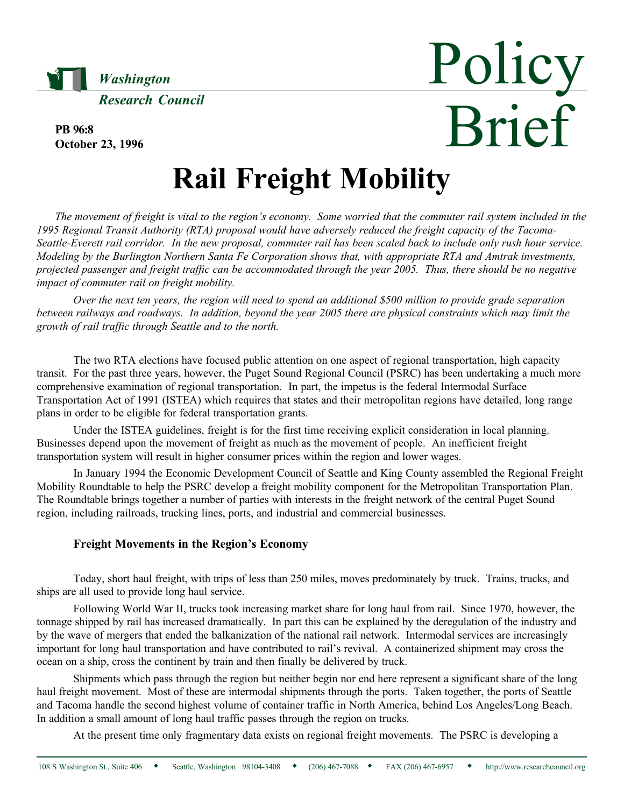

PB 96:8 October 23, 1996

# Brief Rail Freight Mobility

Policy

The movement of freight is vital to the region's economy. Some worried that the commuter rail system included in the 1995 Regional Transit Authority (RTA) proposal would have adversely reduced the freight capacity of the Tacoma-Seattle-Everett rail corridor. In the new proposal, commuter rail has been scaled back to include only rush hour service. Modeling by the Burlington Northern Santa Fe Corporation shows that, with appropriate RTA and Amtrak investments, projected passenger and freight traffic can be accommodated through the year 2005. Thus, there should be no negative impact of commuter rail on freight mobility.

Over the next ten years, the region will need to spend an additional \$500 million to provide grade separation between railways and roadways. In addition, beyond the year 2005 there are physical constraints which may limit the growth of rail traffic through Seattle and to the north.

The two RTA elections have focused public attention on one aspect of regional transportation, high capacity transit. For the past three years, however, the Puget Sound Regional Council (PSRC) has been undertaking a much more comprehensive examination of regional transportation. In part, the impetus is the federal Intermodal Surface Transportation Act of 1991 (ISTEA) which requires that states and their metropolitan regions have detailed, long range plans in order to be eligible for federal transportation grants.

Under the ISTEA guidelines, freight is for the first time receiving explicit consideration in local planning. Businesses depend upon the movement of freight as much as the movement of people. An inefficient freight transportation system will result in higher consumer prices within the region and lower wages.

In January 1994 the Economic Development Council of Seattle and King County assembled the Regional Freight Mobility Roundtable to help the PSRC develop a freight mobility component for the Metropolitan Transportation Plan. The Roundtable brings together a number of parties with interests in the freight network of the central Puget Sound region, including railroads, trucking lines, ports, and industrial and commercial businesses.

### Freight Movements in the Region's Economy

Today, short haul freight, with trips of less than 250 miles, moves predominately by truck. Trains, trucks, and ships are all used to provide long haul service.

Following World War II, trucks took increasing market share for long haul from rail. Since 1970, however, the tonnage shipped by rail has increased dramatically. In part this can be explained by the deregulation of the industry and by the wave of mergers that ended the balkanization of the national rail network. Intermodal services are increasingly important for long haul transportation and have contributed to rail's revival. A containerized shipment may cross the ocean on a ship, cross the continent by train and then finally be delivered by truck.

Shipments which pass through the region but neither begin nor end here represent a significant share of the long haul freight movement. Most of these are intermodal shipments through the ports. Taken together, the ports of Seattle and Tacoma handle the second highest volume of container traffic in North America, behind Los Angeles/Long Beach. In addition a small amount of long haul traffic passes through the region on trucks.

At the present time only fragmentary data exists on regional freight movements. The PSRC is developing a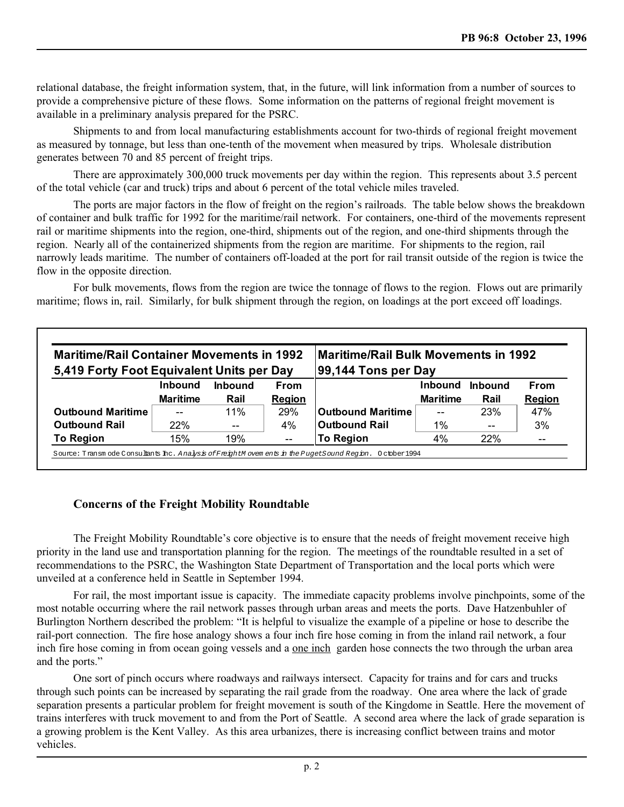relational database, the freight information system, that, in the future, will link information from a number of sources to provide a comprehensive picture of these flows. Some information on the patterns of regional freight movement is available in a preliminary analysis prepared for the PSRC.

Shipments to and from local manufacturing establishments account for two-thirds of regional freight movement as measured by tonnage, but less than one-tenth of the movement when measured by trips. Wholesale distribution generates between 70 and 85 percent of freight trips.

There are approximately 300,000 truck movements per day within the region. This represents about 3.5 percent of the total vehicle (car and truck) trips and about 6 percent of the total vehicle miles traveled.

The ports are major factors in the flow of freight on the region's railroads. The table below shows the breakdown of container and bulk traffic for 1992 for the maritime/rail network. For containers, one-third of the movements represent rail or maritime shipments into the region, one-third, shipments out of the region, and one-third shipments through the region. Nearly all of the containerized shipments from the region are maritime. For shipments to the region, rail narrowly leads maritime. The number of containers off-loaded at the port for rail transit outside of the region is twice the flow in the opposite direction.

For bulk movements, flows from the region are twice the tonnage of flows to the region. Flows out are primarily maritime; flows in, rail. Similarly, for bulk shipment through the region, on loadings at the port exceed off loadings.

| <b>Maritime/Rail Container Movements in 1992</b><br>5,419 Forty Foot Equivalent Units per Day |                 |         |               | <b>Maritime/Rail Bulk Movements in 1992</b><br>99,144 Tons per Day |                 |         |               |
|-----------------------------------------------------------------------------------------------|-----------------|---------|---------------|--------------------------------------------------------------------|-----------------|---------|---------------|
|                                                                                               | Inbound         | Inhound | <b>From</b>   |                                                                    | <b>Inbound</b>  | Inbound | <b>From</b>   |
|                                                                                               | <b>Maritime</b> | Rail    | <b>Region</b> |                                                                    | <b>Maritime</b> | Rail    | <b>Region</b> |
| <b>Outbound Maritime</b>                                                                      | --              | 11%     | 29%           | ∣Outbound Maritime                                                 | --              | 23%     | 47%           |
| <b>Outbound Rail</b>                                                                          | 22%             | $- -$   | 4%            | <b>Outbound Rail</b>                                               | $1\%$           | $- -$   | 3%            |
| <b>To Region</b>                                                                              | 15%             | 19%     | $- -$         | To Region                                                          | 4%              | 22%     | $- -$         |

## Concerns of the Freight Mobility Roundtable

The Freight Mobility Roundtable's core objective is to ensure that the needs of freight movement receive high priority in the land use and transportation planning for the region. The meetings of the roundtable resulted in a set of recommendations to the PSRC, the Washington State Department of Transportation and the local ports which were unveiled at a conference held in Seattle in September 1994.

For rail, the most important issue is capacity. The immediate capacity problems involve pinchpoints, some of the most notable occurring where the rail network passes through urban areas and meets the ports. Dave Hatzenbuhler of Burlington Northern described the problem: "It is helpful to visualize the example of a pipeline or hose to describe the rail-port connection. The fire hose analogy shows a four inch fire hose coming in from the inland rail network, a four inch fire hose coming in from ocean going vessels and a one inch garden hose connects the two through the urban area and the ports.

One sort of pinch occurs where roadways and railways intersect. Capacity for trains and for cars and trucks through such points can be increased by separating the rail grade from the roadway. One area where the lack of grade separation presents a particular problem for freight movement is south of the Kingdome in Seattle. Here the movement of trains interferes with truck movement to and from the Port of Seattle. A second area where the lack of grade separation is a growing problem is the Kent Valley. As this area urbanizes, there is increasing conflict between trains and motor vehicles.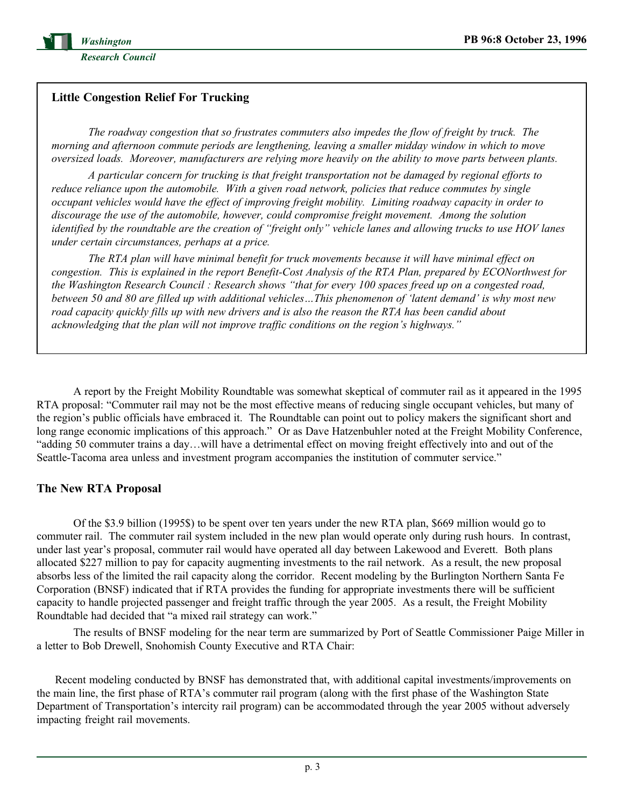

## Little Congestion Relief For Trucking

The roadway congestion that so frustrates commuters also impedes the flow of freight by truck. The morning and afternoon commute periods are lengthening, leaving a smaller midday window in which to move oversized loads. Moreover, manufacturers are relying more heavily on the ability to move parts between plants.

A particular concern for trucking is that freight transportation not be damaged by regional efforts to reduce reliance upon the automobile. With a given road network, policies that reduce commutes by single occupant vehicles would have the effect of improving freight mobility. Limiting roadway capacity in order to discourage the use of the automobile, however, could compromise freight movement. Among the solution identified by the roundtable are the creation of "freight only" vehicle lanes and allowing trucks to use HOV lanes under certain circumstances, perhaps at a price.

The RTA plan will have minimal benefit for truck movements because it will have minimal effect on congestion. This is explained in the report Benefit-Cost Analysis of the RTA Plan, prepared by ECONorthwest for the Washington Research Council: Research shows "that for every 100 spaces freed up on a congested road, between 50 and 80 are filled up with additional vehicles...This phenomenon of 'latent demand' is why most new road capacity quickly fills up with new drivers and is also the reason the RTA has been candid about acknowledging that the plan will not improve traffic conditions on the region's highways."

A report by the Freight Mobility Roundtable was somewhat skeptical of commuter rail as it appeared in the 1995 RTA proposal: "Commuter rail may not be the most effective means of reducing single occupant vehicles, but many of the region's public officials have embraced it. The Roundtable can point out to policy makers the significant short and long range economic implications of this approach." Or as Dave Hatzenbuhler noted at the Freight Mobility Conference, "adding 50 commuter trains a day...will have a detrimental effect on moving freight effectively into and out of the Seattle-Tacoma area unless and investment program accompanies the institution of commuter service.

### The New RTA Proposal

Of the \$3.9 billion (1995\$) to be spent over ten years under the new RTA plan, \$669 million would go to commuter rail. The commuter rail system included in the new plan would operate only during rush hours. In contrast, under last year's proposal, commuter rail would have operated all day between Lakewood and Everett. Both plans allocated \$227 million to pay for capacity augmenting investments to the rail network. As a result, the new proposal absorbs less of the limited the rail capacity along the corridor. Recent modeling by the Burlington Northern Santa Fe Corporation (BNSF) indicated that if RTA provides the funding for appropriate investments there will be sufficient capacity to handle projected passenger and freight traffic through the year 2005. As a result, the Freight Mobility Roundtable had decided that "a mixed rail strategy can work."

The results of BNSF modeling for the near term are summarized by Port of Seattle Commissioner Paige Miller in a letter to Bob Drewell, Snohomish County Executive and RTA Chair:

Recent modeling conducted by BNSF has demonstrated that, with additional capital investments/improvements on the main line, the first phase of RTA's commuter rail program (along with the first phase of the Washington State Department of Transportation's intercity rail program) can be accommodated through the year 2005 without adversely impacting freight rail movements.